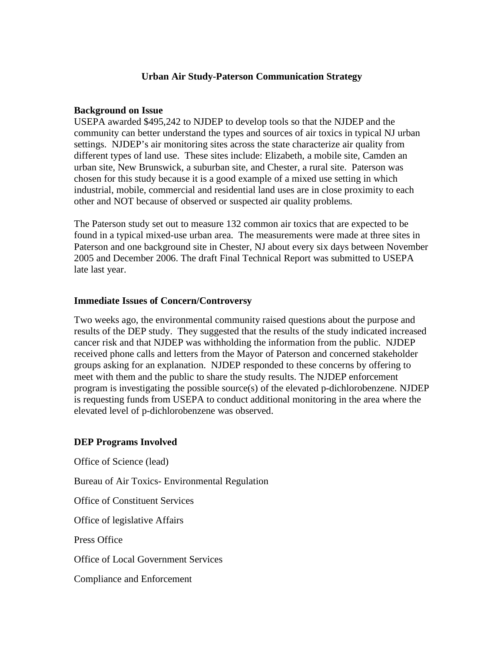#### **Urban Air Study-Paterson Communication Strategy**

#### **Background on Issue**

USEPA awarded \$495,242 to NJDEP to develop tools so that the NJDEP and the community can better understand the types and sources of air toxics in typical NJ urban settings. NJDEP's air monitoring sites across the state characterize air quality from different types of land use. These sites include: Elizabeth, a mobile site, Camden an urban site, New Brunswick, a suburban site, and Chester, a rural site. Paterson was chosen for this study because it is a good example of a mixed use setting in which industrial, mobile, commercial and residential land uses are in close proximity to each other and NOT because of observed or suspected air quality problems.

The Paterson study set out to measure 132 common air toxics that are expected to be found in a typical mixed-use urban area. The measurements were made at three sites in Paterson and one background site in Chester, NJ about every six days between November 2005 and December 2006. The draft Final Technical Report was submitted to USEPA late last year.

#### **Immediate Issues of Concern/Controversy**

Two weeks ago, the environmental community raised questions about the purpose and results of the DEP study. They suggested that the results of the study indicated increased cancer risk and that NJDEP was withholding the information from the public. NJDEP received phone calls and letters from the Mayor of Paterson and concerned stakeholder groups asking for an explanation. NJDEP responded to these concerns by offering to meet with them and the public to share the study results. The NJDEP enforcement program is investigating the possible source(s) of the elevated p-dichlorobenzene. NJDEP is requesting funds from USEPA to conduct additional monitoring in the area where the elevated level of p-dichlorobenzene was observed.

#### **DEP Programs Involved**

Office of Science (lead)

Bureau of Air Toxics- Environmental Regulation

Office of Constituent Services

Office of legislative Affairs

Press Office

Office of Local Government Services

Compliance and Enforcement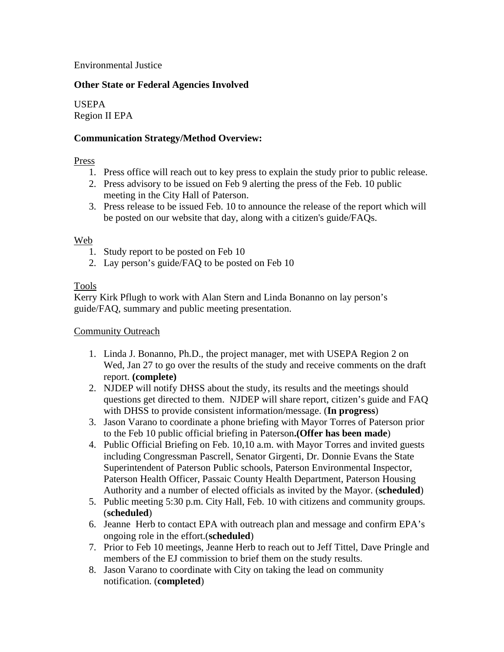Environmental Justice

## **Other State or Federal Agencies Involved**

USEPA Region II EPA

## **Communication Strategy/Method Overview:**

### Press

- 1. Press office will reach out to key press to explain the study prior to public release.
- 2. Press advisory to be issued on Feb 9 alerting the press of the Feb. 10 public meeting in the City Hall of Paterson.
- 3. Press release to be issued Feb. 10 to announce the release of the report which will be posted on our website that day, along with a citizen's guide/FAQs.

#### Web

- 1. Study report to be posted on Feb 10
- 2. Lay person's guide/FAQ to be posted on Feb 10

## Tools

Kerry Kirk Pflugh to work with Alan Stern and Linda Bonanno on lay person's guide/FAQ, summary and public meeting presentation.

### Community Outreach

- 1. Linda J. Bonanno, Ph.D., the project manager, met with USEPA Region 2 on Wed, Jan 27 to go over the results of the study and receive comments on the draft report. **(complete)**
- 2. NJDEP will notify DHSS about the study, its results and the meetings should questions get directed to them. NJDEP will share report, citizen's guide and FAQ with DHSS to provide consistent information/message. (**In progress**)
- 3. Jason Varano to coordinate a phone briefing with Mayor Torres of Paterson prior to the Feb 10 public official briefing in Paterson**.(Offer has been made**)
- 4. Public Official Briefing on Feb. 10,10 a.m. with Mayor Torres and invited guests including Congressman Pascrell, Senator Girgenti, Dr. Donnie Evans the State Superintendent of Paterson Public schools, Paterson Environmental Inspector, Paterson Health Officer, Passaic County Health Department, Paterson Housing Authority and a number of elected officials as invited by the Mayor. (**scheduled**)
- 5. Public meeting 5:30 p.m. City Hall, Feb. 10 with citizens and community groups. (**scheduled**)
- 6. Jeanne Herb to contact EPA with outreach plan and message and confirm EPA's ongoing role in the effort.(**scheduled**)
- 7. Prior to Feb 10 meetings, Jeanne Herb to reach out to Jeff Tittel, Dave Pringle and members of the EJ commission to brief them on the study results.
- 8. Jason Varano to coordinate with City on taking the lead on community notification. (**completed**)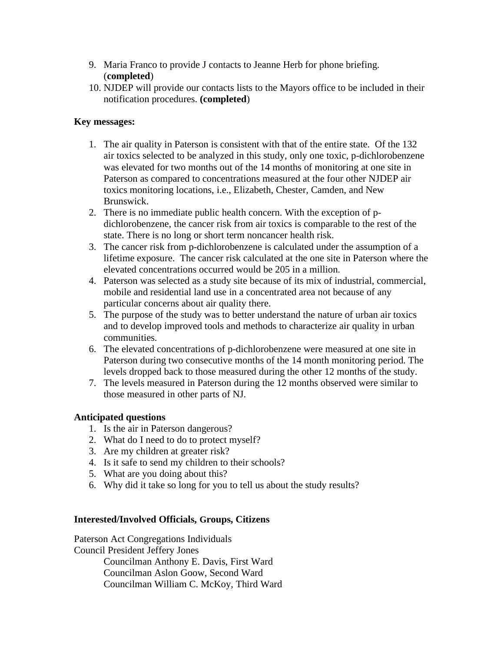- 9. Maria Franco to provide J contacts to Jeanne Herb for phone briefing. (**completed**)
- 10. NJDEP will provide our contacts lists to the Mayors office to be included in their notification procedures. **(completed**)

# **Key messages:**

- 1. The air quality in Paterson is consistent with that of the entire state. Of the 132 air toxics selected to be analyzed in this study, only one toxic, p-dichlorobenzene was elevated for two months out of the 14 months of monitoring at one site in Paterson as compared to concentrations measured at the four other NJDEP air toxics monitoring locations, i.e., Elizabeth, Chester, Camden, and New Brunswick.
- 2. There is no immediate public health concern. With the exception of pdichlorobenzene, the cancer risk from air toxics is comparable to the rest of the state. There is no long or short term noncancer health risk.
- 3. The cancer risk from p-dichlorobenzene is calculated under the assumption of a lifetime exposure. The cancer risk calculated at the one site in Paterson where the elevated concentrations occurred would be 205 in a million.
- 4. Paterson was selected as a study site because of its mix of industrial, commercial, mobile and residential land use in a concentrated area not because of any particular concerns about air quality there.
- 5. The purpose of the study was to better understand the nature of urban air toxics and to develop improved tools and methods to characterize air quality in urban communities.
- 6. The elevated concentrations of p-dichlorobenzene were measured at one site in Paterson during two consecutive months of the 14 month monitoring period. The levels dropped back to those measured during the other 12 months of the study.
- 7. The levels measured in Paterson during the 12 months observed were similar to those measured in other parts of NJ.

## **Anticipated questions**

- 1. Is the air in Paterson dangerous?
- 2. What do I need to do to protect myself?
- 3. Are my children at greater risk?
- 4. Is it safe to send my children to their schools?
- 5. What are you doing about this?
- 6. Why did it take so long for you to tell us about the study results?

## **Interested/Involved Officials, Groups, Citizens**

Paterson Act Congregations Individuals Council President Jeffery Jones Councilman Anthony E. Davis, First Ward Councilman Aslon Goow, Second Ward Councilman William C. McKoy, Third Ward